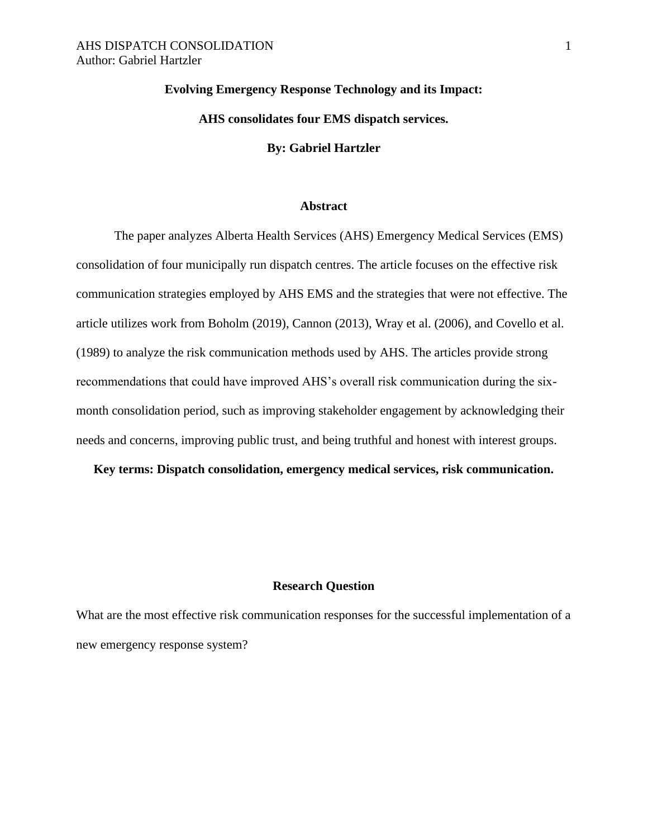# **Evolving Emergency Response Technology and its Impact:**

# **AHS consolidates four EMS dispatch services.**

## **By: Gabriel Hartzler**

## **Abstract**

The paper analyzes Alberta Health Services (AHS) Emergency Medical Services (EMS) consolidation of four municipally run dispatch centres. The article focuses on the effective risk communication strategies employed by AHS EMS and the strategies that were not effective. The article utilizes work from Boholm (2019), Cannon (2013), Wray et al. (2006), and Covello et al. (1989) to analyze the risk communication methods used by AHS. The articles provide strong recommendations that could have improved AHS's overall risk communication during the sixmonth consolidation period, such as improving stakeholder engagement by acknowledging their needs and concerns, improving public trust, and being truthful and honest with interest groups.

**Key terms: Dispatch consolidation, emergency medical services, risk communication.**

## **Research Question**

What are the most effective risk communication responses for the successful implementation of a new emergency response system?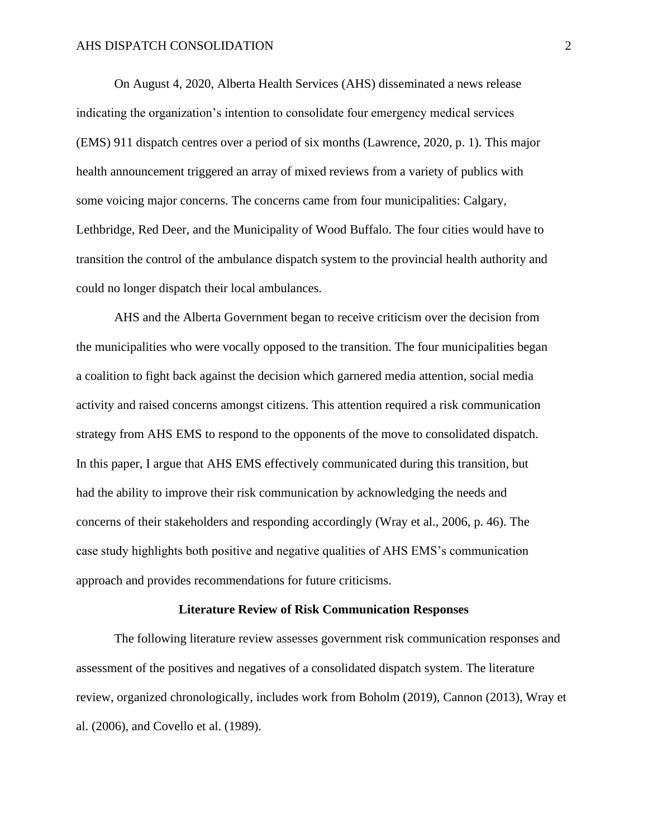On August 4, 2020, Alberta Health Services (AHS) disseminated a news release indicating the organization's intention to consolidate four emergency medical services (EMS) 911 dispatch centres over a period of six months (Lawrence, 2020, p. 1). This major health announcement triggered an array of mixed reviews from a variety of publics with some voicing major concerns. The concerns came from four municipalities: Calgary, Lethbridge, Red Deer, and the Municipality of Wood Buffalo. The four cities would have to transition the control of the ambulance dispatch system to the provincial health authority and could no longer dispatch their local ambulances.

AHS and the Alberta Government began to receive criticism over the decision from the municipalities who were vocally opposed to the transition. The four municipalities began a coalition to fight back against the decision which garnered media attention, social media activity and raised concerns amongst citizens. This attention required a risk communication strategy from AHS EMS to respond to the opponents of the move to consolidated dispatch. In this paper, I argue that AHS EMS effectively communicated during this transition, but had the ability to improve their risk communication by acknowledging the needs and concerns of their stakeholders and responding accordingly (Wray et al., 2006, p. 46). The case study highlights both positive and negative qualities of AHS EMS's communication approach and provides recommendations for future criticisms.

#### **Literature Review of Risk Communication Responses**

The following literature review assesses government risk communication responses and assessment of the positives and negatives of a consolidated dispatch system. The literature review, organized chronologically, includes work from Boholm (2019), Cannon (2013), Wray et al. (2006), and Covello et al. (1989).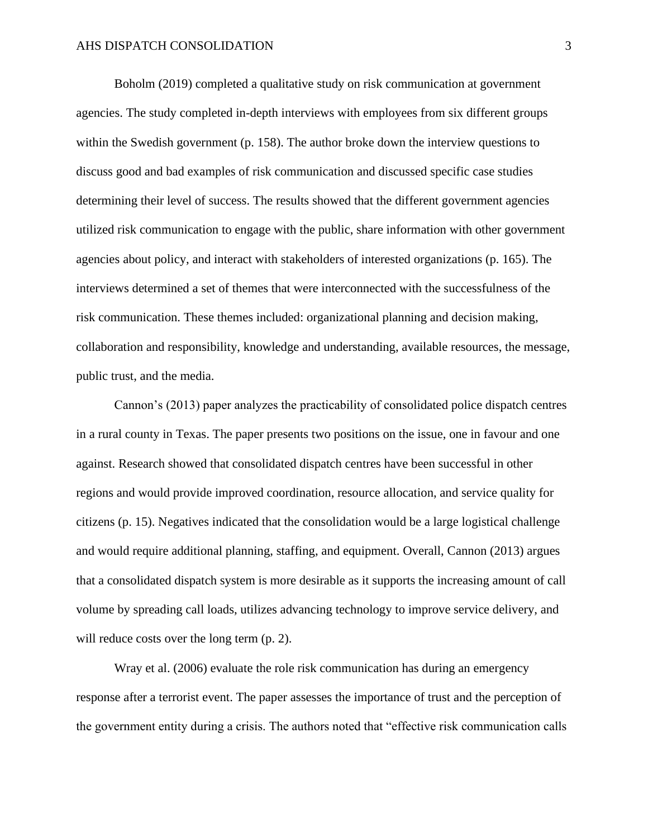Boholm (2019) completed a qualitative study on risk communication at government agencies. The study completed in-depth interviews with employees from six different groups within the Swedish government (p. 158). The author broke down the interview questions to discuss good and bad examples of risk communication and discussed specific case studies determining their level of success. The results showed that the different government agencies utilized risk communication to engage with the public, share information with other government agencies about policy, and interact with stakeholders of interested organizations (p. 165). The interviews determined a set of themes that were interconnected with the successfulness of the risk communication. These themes included: organizational planning and decision making, collaboration and responsibility, knowledge and understanding, available resources, the message, public trust, and the media.

Cannon's (2013) paper analyzes the practicability of consolidated police dispatch centres in a rural county in Texas. The paper presents two positions on the issue, one in favour and one against. Research showed that consolidated dispatch centres have been successful in other regions and would provide improved coordination, resource allocation, and service quality for citizens (p. 15). Negatives indicated that the consolidation would be a large logistical challenge and would require additional planning, staffing, and equipment. Overall, Cannon (2013) argues that a consolidated dispatch system is more desirable as it supports the increasing amount of call volume by spreading call loads, utilizes advancing technology to improve service delivery, and will reduce costs over the long term  $(p, 2)$ .

Wray et al. (2006) evaluate the role risk communication has during an emergency response after a terrorist event. The paper assesses the importance of trust and the perception of the government entity during a crisis. The authors noted that "effective risk communication calls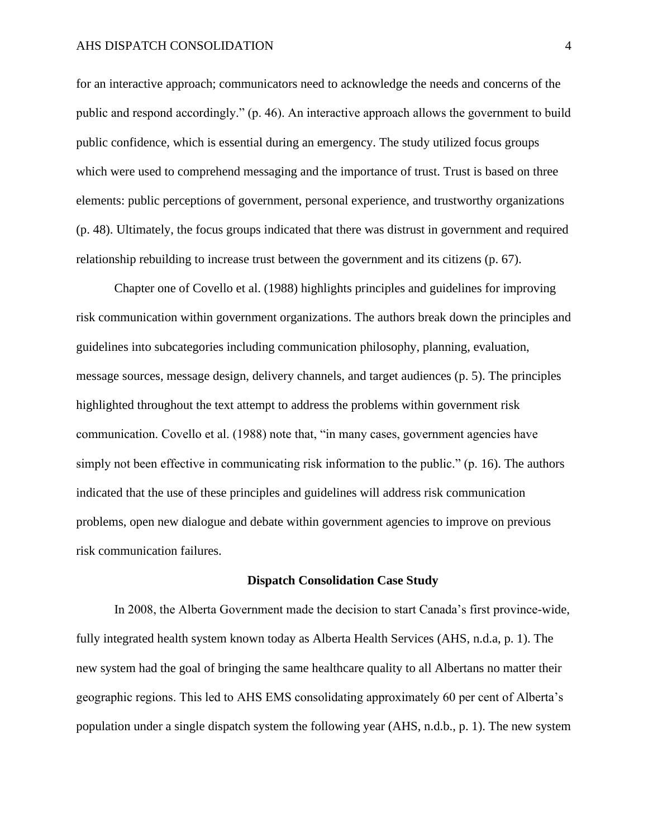for an interactive approach; communicators need to acknowledge the needs and concerns of the public and respond accordingly." (p. 46). An interactive approach allows the government to build public confidence, which is essential during an emergency. The study utilized focus groups which were used to comprehend messaging and the importance of trust. Trust is based on three elements: public perceptions of government, personal experience, and trustworthy organizations (p. 48). Ultimately, the focus groups indicated that there was distrust in government and required relationship rebuilding to increase trust between the government and its citizens (p. 67).

Chapter one of Covello et al. (1988) highlights principles and guidelines for improving risk communication within government organizations. The authors break down the principles and guidelines into subcategories including communication philosophy, planning, evaluation, message sources, message design, delivery channels, and target audiences (p. 5). The principles highlighted throughout the text attempt to address the problems within government risk communication. Covello et al. (1988) note that, "in many cases, government agencies have simply not been effective in communicating risk information to the public." (p. 16). The authors indicated that the use of these principles and guidelines will address risk communication problems, open new dialogue and debate within government agencies to improve on previous risk communication failures.

### **Dispatch Consolidation Case Study**

In 2008, the Alberta Government made the decision to start Canada's first province-wide, fully integrated health system known today as Alberta Health Services (AHS, n.d.a, p. 1). The new system had the goal of bringing the same healthcare quality to all Albertans no matter their geographic regions. This led to AHS EMS consolidating approximately 60 per cent of Alberta's population under a single dispatch system the following year (AHS, n.d.b., p. 1). The new system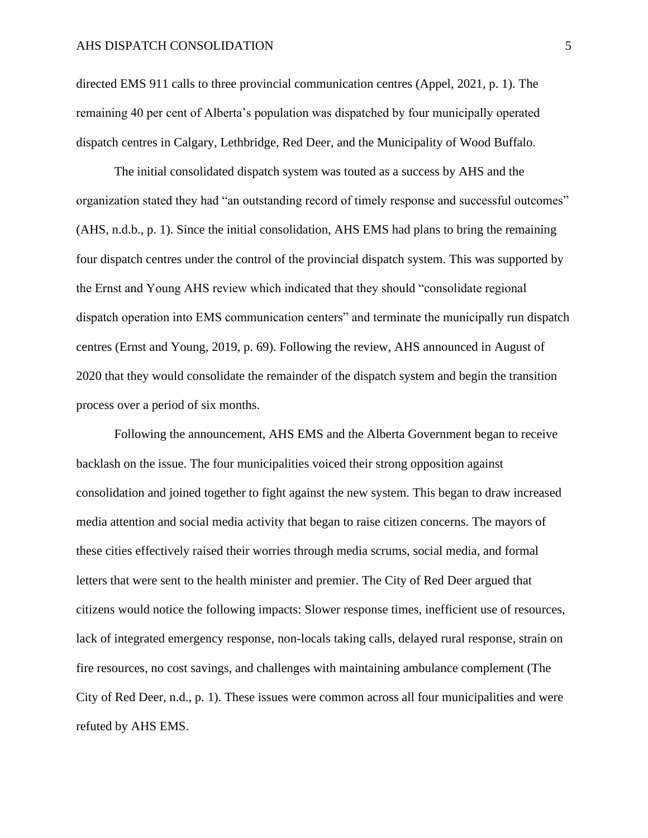directed EMS 911 calls to three provincial communication centres (Appel, 2021, p. 1). The remaining 40 per cent of Alberta's population was dispatched by four municipally operated dispatch centres in Calgary, Lethbridge, Red Deer, and the Municipality of Wood Buffalo.

The initial consolidated dispatch system was touted as a success by AHS and the organization stated they had "an outstanding record of timely response and successful outcomes" (AHS, n.d.b., p. 1). Since the initial consolidation, AHS EMS had plans to bring the remaining four dispatch centres under the control of the provincial dispatch system. This was supported by the Ernst and Young AHS review which indicated that they should "consolidate regional dispatch operation into EMS communication centers" and terminate the municipally run dispatch centres (Ernst and Young, 2019, p. 69). Following the review, AHS announced in August of 2020 that they would consolidate the remainder of the dispatch system and begin the transition process over a period of six months.

Following the announcement, AHS EMS and the Alberta Government began to receive backlash on the issue. The four municipalities voiced their strong opposition against consolidation and joined together to fight against the new system. This began to draw increased media attention and social media activity that began to raise citizen concerns. The mayors of these cities effectively raised their worries through media scrums, social media, and formal letters that were sent to the health minister and premier. The City of Red Deer argued that citizens would notice the following impacts: Slower response times, inefficient use of resources, lack of integrated emergency response, non-locals taking calls, delayed rural response, strain on fire resources, no cost savings, and challenges with maintaining ambulance complement (The City of Red Deer, n.d., p. 1). These issues were common across all four municipalities and were refuted by AHS EMS.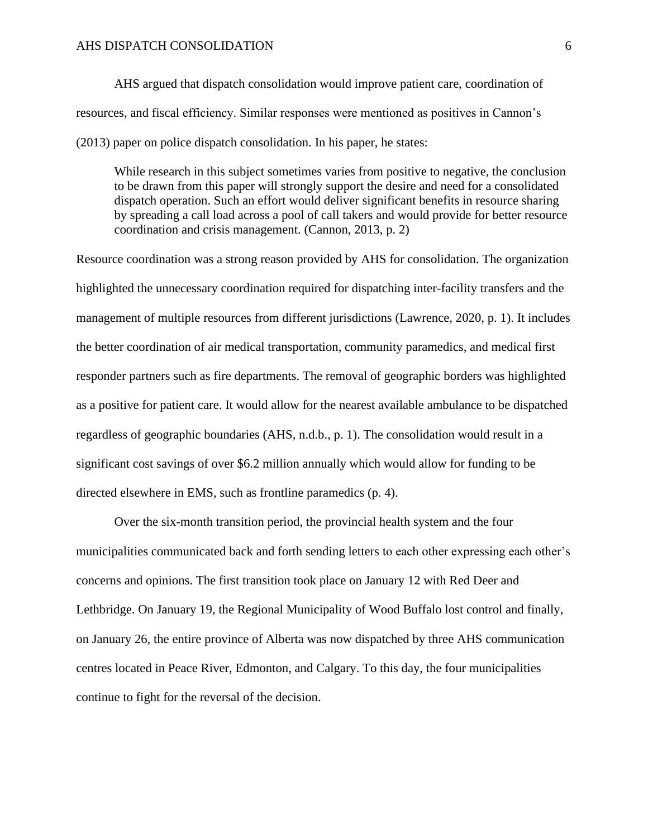AHS argued that dispatch consolidation would improve patient care, coordination of resources, and fiscal efficiency. Similar responses were mentioned as positives in Cannon's (2013) paper on police dispatch consolidation. In his paper, he states:

While research in this subject sometimes varies from positive to negative, the conclusion to be drawn from this paper will strongly support the desire and need for a consolidated dispatch operation. Such an effort would deliver significant benefits in resource sharing by spreading a call load across a pool of call takers and would provide for better resource coordination and crisis management. (Cannon, 2013, p. 2)

Resource coordination was a strong reason provided by AHS for consolidation. The organization highlighted the unnecessary coordination required for dispatching inter-facility transfers and the management of multiple resources from different jurisdictions (Lawrence, 2020, p. 1). It includes the better coordination of air medical transportation, community paramedics, and medical first responder partners such as fire departments. The removal of geographic borders was highlighted as a positive for patient care. It would allow for the nearest available ambulance to be dispatched regardless of geographic boundaries (AHS, n.d.b., p. 1). The consolidation would result in a significant cost savings of over \$6.2 million annually which would allow for funding to be directed elsewhere in EMS, such as frontline paramedics (p. 4).

Over the six-month transition period, the provincial health system and the four municipalities communicated back and forth sending letters to each other expressing each other's concerns and opinions. The first transition took place on January 12 with Red Deer and Lethbridge. On January 19, the Regional Municipality of Wood Buffalo lost control and finally, on January 26, the entire province of Alberta was now dispatched by three AHS communication centres located in Peace River, Edmonton, and Calgary. To this day, the four municipalities continue to fight for the reversal of the decision.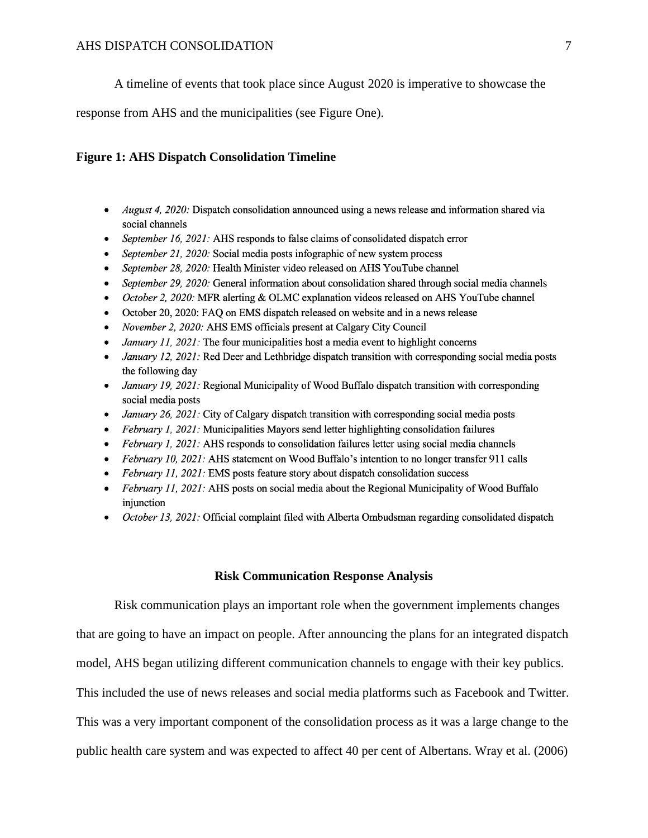A timeline of events that took place since August 2020 is imperative to showcase the

response from AHS and the municipalities (see Figure One).

# **Figure 1: AHS Dispatch Consolidation Timeline**

- *August 4, 2020*: Dispatch consolidation announced using a news release and information shared via social channels
- September 16, 2021: AHS responds to false claims of consolidated dispatch error  $\bullet$
- September 21, 2020: Social media posts infographic of new system process  $\bullet$
- September 28, 2020: Health Minister video released on AHS YouTube channel
- September 29, 2020: General information about consolidation shared through social media channels
- October 2, 2020: MFR alerting & OLMC explanation videos released on AHS YouTube channel
- October 20, 2020: FAQ on EMS dispatch released on website and in a news release
- November 2, 2020: AHS EMS officials present at Calgary City Council
- January 11, 2021: The four municipalities host a media event to highlight concerns
- January 12, 2021: Red Deer and Lethbridge dispatch transition with corresponding social media posts the following day
- January 19, 2021: Regional Municipality of Wood Buffalo dispatch transition with corresponding  $\bullet$ social media posts
- January 26, 2021: City of Calgary dispatch transition with corresponding social media posts
- *February 1, 2021:* Municipalities Mayors send letter highlighting consolidation failures
- *February 1, 2021:* AHS responds to consolidation failures letter using social media channels
- February 10, 2021: AHS statement on Wood Buffalo's intention to no longer transfer 911 calls
- February 11, 2021: EMS posts feature story about dispatch consolidation success
- February 11, 2021: AHS posts on social media about the Regional Municipality of Wood Buffalo  $\bullet$ injunction
- October 13, 2021: Official complaint filed with Alberta Ombudsman regarding consolidated dispatch

## **Risk Communication Response Analysis**

Risk communication plays an important role when the government implements changes that are going to have an impact on people. After announcing the plans for an integrated dispatch model, AHS began utilizing different communication channels to engage with their key publics. This included the use of news releases and social media platforms such as Facebook and Twitter. This was a very important component of the consolidation process as it was a large change to the public health care system and was expected to affect 40 per cent of Albertans. Wray et al. (2006)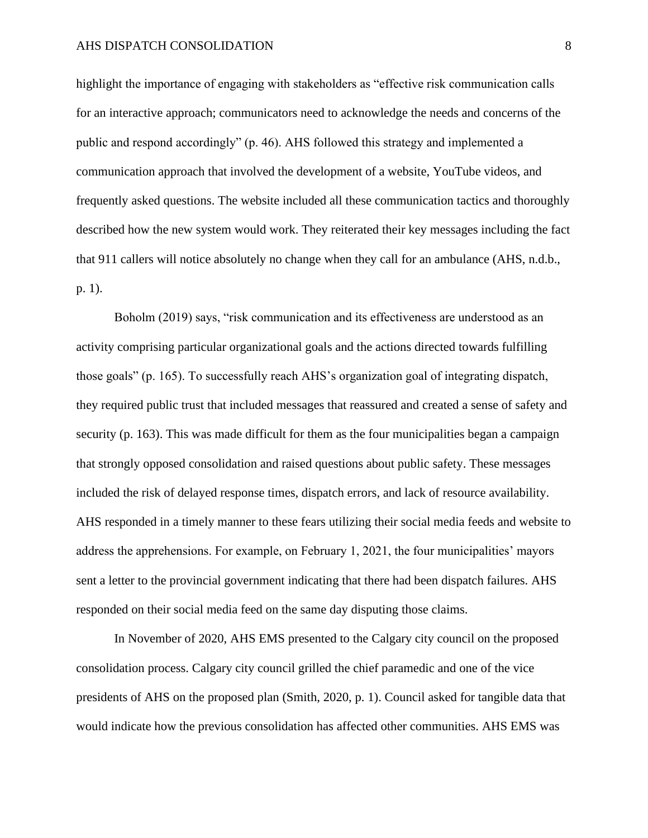highlight the importance of engaging with stakeholders as "effective risk communication calls for an interactive approach; communicators need to acknowledge the needs and concerns of the public and respond accordingly" (p. 46). AHS followed this strategy and implemented a communication approach that involved the development of a website, YouTube videos, and frequently asked questions. The website included all these communication tactics and thoroughly described how the new system would work. They reiterated their key messages including the fact that 911 callers will notice absolutely no change when they call for an ambulance (AHS, n.d.b., p. 1).

Boholm (2019) says, "risk communication and its effectiveness are understood as an activity comprising particular organizational goals and the actions directed towards fulfilling those goals" (p. 165). To successfully reach AHS's organization goal of integrating dispatch, they required public trust that included messages that reassured and created a sense of safety and security (p. 163). This was made difficult for them as the four municipalities began a campaign that strongly opposed consolidation and raised questions about public safety. These messages included the risk of delayed response times, dispatch errors, and lack of resource availability. AHS responded in a timely manner to these fears utilizing their social media feeds and website to address the apprehensions. For example, on February 1, 2021, the four municipalities' mayors sent a letter to the provincial government indicating that there had been dispatch failures. AHS responded on their social media feed on the same day disputing those claims.

In November of 2020, AHS EMS presented to the Calgary city council on the proposed consolidation process. Calgary city council grilled the chief paramedic and one of the vice presidents of AHS on the proposed plan (Smith, 2020, p. 1). Council asked for tangible data that would indicate how the previous consolidation has affected other communities. AHS EMS was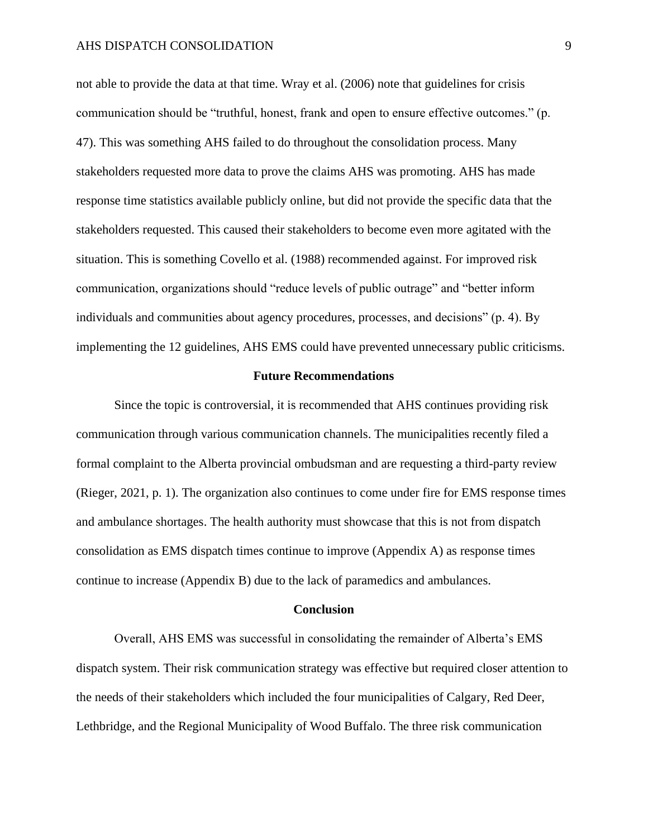not able to provide the data at that time. Wray et al. (2006) note that guidelines for crisis communication should be "truthful, honest, frank and open to ensure effective outcomes." (p. 47). This was something AHS failed to do throughout the consolidation process. Many stakeholders requested more data to prove the claims AHS was promoting. AHS has made response time statistics available publicly online, but did not provide the specific data that the stakeholders requested. This caused their stakeholders to become even more agitated with the situation. This is something Covello et al. (1988) recommended against. For improved risk communication, organizations should "reduce levels of public outrage" and "better inform individuals and communities about agency procedures, processes, and decisions" (p. 4). By implementing the 12 guidelines, AHS EMS could have prevented unnecessary public criticisms.

#### **Future Recommendations**

Since the topic is controversial, it is recommended that AHS continues providing risk communication through various communication channels. The municipalities recently filed a formal complaint to the Alberta provincial ombudsman and are requesting a third-party review (Rieger, 2021, p. 1). The organization also continues to come under fire for EMS response times and ambulance shortages. The health authority must showcase that this is not from dispatch consolidation as EMS dispatch times continue to improve (Appendix A) as response times continue to increase (Appendix B) due to the lack of paramedics and ambulances.

#### **Conclusion**

Overall, AHS EMS was successful in consolidating the remainder of Alberta's EMS dispatch system. Their risk communication strategy was effective but required closer attention to the needs of their stakeholders which included the four municipalities of Calgary, Red Deer, Lethbridge, and the Regional Municipality of Wood Buffalo. The three risk communication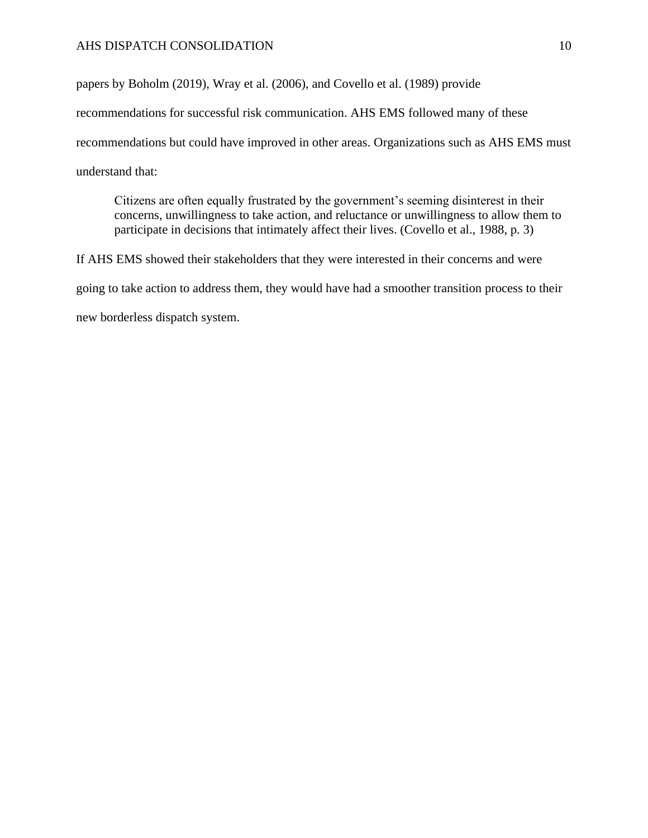papers by Boholm (2019), Wray et al. (2006), and Covello et al. (1989) provide

recommendations for successful risk communication. AHS EMS followed many of these

recommendations but could have improved in other areas. Organizations such as AHS EMS must

understand that:

Citizens are often equally frustrated by the government's seeming disinterest in their concerns, unwillingness to take action, and reluctance or unwillingness to allow them to participate in decisions that intimately affect their lives. (Covello et al., 1988, p. 3)

If AHS EMS showed their stakeholders that they were interested in their concerns and were going to take action to address them, they would have had a smoother transition process to their new borderless dispatch system.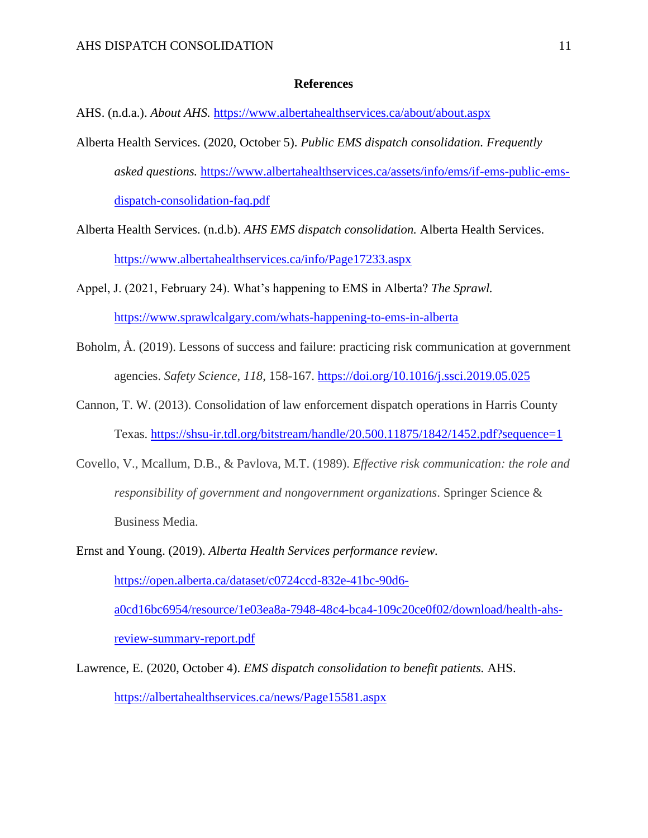## **References**

AHS. (n.d.a.). *About AHS.* <https://www.albertahealthservices.ca/about/about.aspx>

- Alberta Health Services. (2020, October 5). *Public EMS dispatch consolidation. Frequently asked questions.* [https://www.albertahealthservices.ca/assets/info/ems/if-ems-public-ems](https://www.albertahealthservices.ca/assets/info/ems/if-ems-public-ems-dispatch-consolidation-faq.pdf)[dispatch-consolidation-faq.pdf](https://www.albertahealthservices.ca/assets/info/ems/if-ems-public-ems-dispatch-consolidation-faq.pdf)
- Alberta Health Services. (n.d.b). *AHS EMS dispatch consolidation.* Alberta Health Services. <https://www.albertahealthservices.ca/info/Page17233.aspx>
- Appel, J. (2021, February 24). What's happening to EMS in Alberta? *The Sprawl.*  <https://www.sprawlcalgary.com/whats-happening-to-ems-in-alberta>
- Boholm, Å. (2019). Lessons of success and failure: practicing risk communication at government agencies. *Safety Science*, *118*, 158-167.<https://doi.org/10.1016/j.ssci.2019.05.025>
- Cannon, T. W. (2013). Consolidation of law enforcement dispatch operations in Harris County Texas.<https://shsu-ir.tdl.org/bitstream/handle/20.500.11875/1842/1452.pdf?sequence=1>
- Covello, V., Mcallum, D.B., & Pavlova, M.T. (1989). *Effective risk communication: the role and responsibility of government and nongovernment organizations*. Springer Science & Business Media.
- Ernst and Young. (2019). *Alberta Health Services performance review.* [https://open.alberta.ca/dataset/c0724ccd-832e-41bc-90d6](https://open.alberta.ca/dataset/c0724ccd-832e-41bc-90d6-a0cd16bc6954/resource/1e03ea8a-7948-48c4-bca4-109c20ce0f02/download/health-ahs-review-summary-report.pdf) [a0cd16bc6954/resource/1e03ea8a-7948-48c4-bca4-109c20ce0f02/download/health-ahs](https://open.alberta.ca/dataset/c0724ccd-832e-41bc-90d6-a0cd16bc6954/resource/1e03ea8a-7948-48c4-bca4-109c20ce0f02/download/health-ahs-review-summary-report.pdf)[review-summary-report.pdf](https://open.alberta.ca/dataset/c0724ccd-832e-41bc-90d6-a0cd16bc6954/resource/1e03ea8a-7948-48c4-bca4-109c20ce0f02/download/health-ahs-review-summary-report.pdf)
- Lawrence, E. (2020, October 4). *EMS dispatch consolidation to benefit patients.* AHS. <https://albertahealthservices.ca/news/Page15581.aspx>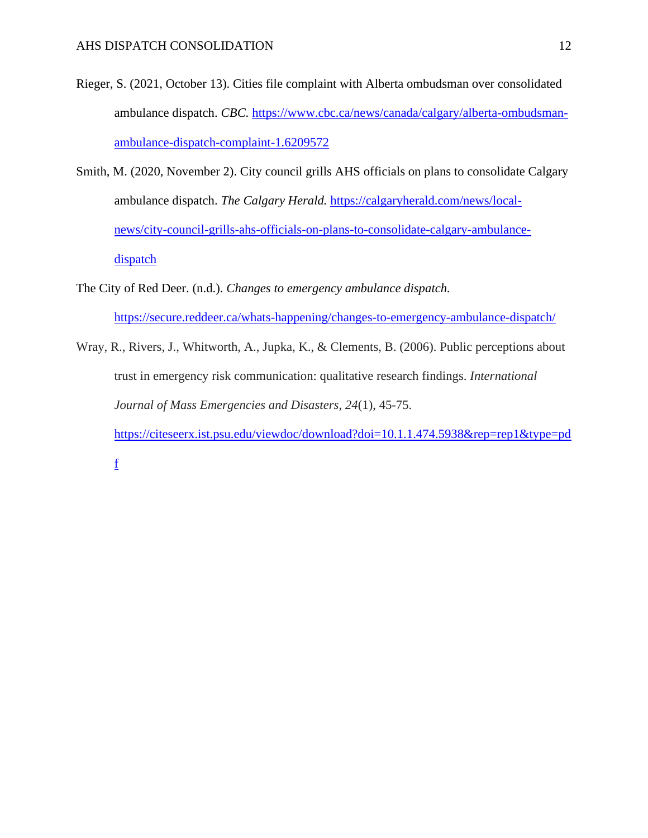- Rieger, S. (2021, October 13). Cities file complaint with Alberta ombudsman over consolidated ambulance dispatch. *CBC.* [https://www.cbc.ca/news/canada/calgary/alberta-ombudsman](https://www.cbc.ca/news/canada/calgary/alberta-ombudsman-ambulance-dispatch-complaint-1.6209572)[ambulance-dispatch-complaint-1.6209572](https://www.cbc.ca/news/canada/calgary/alberta-ombudsman-ambulance-dispatch-complaint-1.6209572)
- Smith, M. (2020, November 2). City council grills AHS officials on plans to consolidate Calgary ambulance dispatch. *The Calgary Herald.* [https://calgaryherald.com/news/local](https://calgaryherald.com/news/local-news/city-council-grills-ahs-officials-on-plans-to-consolidate-calgary-ambulance-dispatch)[news/city-council-grills-ahs-officials-on-plans-to-consolidate-calgary-ambulance](https://calgaryherald.com/news/local-news/city-council-grills-ahs-officials-on-plans-to-consolidate-calgary-ambulance-dispatch)[dispatch](https://calgaryherald.com/news/local-news/city-council-grills-ahs-officials-on-plans-to-consolidate-calgary-ambulance-dispatch)
- The City of Red Deer. (n.d.). *Changes to emergency ambulance dispatch.* <https://secure.reddeer.ca/whats-happening/changes-to-emergency-ambulance-dispatch/>
- Wray, R., Rivers, J., Whitworth, A., Jupka, K., & Clements, B. (2006). Public perceptions about trust in emergency risk communication: qualitative research findings. *International Journal of Mass Emergencies and Disasters*, *24*(1), 45-75. [https://citeseerx.ist.psu.edu/viewdoc/download?doi=10.1.1.474.5938&rep=rep1&type=pd](https://citeseerx.ist.psu.edu/viewdoc/download?doi=10.1.1.474.5938&rep=rep1&type=pdf) [f](https://citeseerx.ist.psu.edu/viewdoc/download?doi=10.1.1.474.5938&rep=rep1&type=pdf)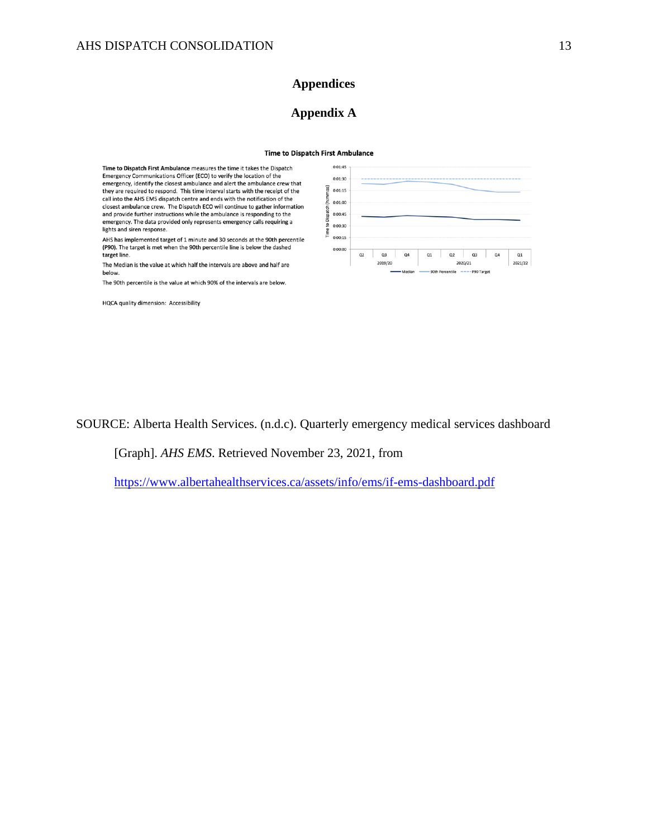# **Appendices**

# **Appendix A**

#### **Time to Dispatch First Ambulance**

Time to Dispatch First Ambulance measures the time it takes the Dispatch Emergency Communications Officer (ECO) to verify the location of the emergency, identify the closest ambulance and alert the ambulance crew that<br>they are required to respond. This time interval starts with the receipt of the call into the AHS EMS dispatch centre and ends with the notification of the closest ambulance crew. The Dispatch ECO will continue to gather information and provide further instructions while the ambulance is responding to the emergency. The data provided only represents emergency calls requiring a lights and siren response.

AHS has implemented target of 1 minute and 30 seconds at the 90th percentile (P90). The target is met when the 90th percentile line is below the dashed target line.

The Median is the value at which half the intervals are above and half are below.

The 90th percentile is the value at which 90% of the intervals are below.

HQCA quality dimension: Accessibility



SOURCE: Alberta Health Services. (n.d.c). Quarterly emergency medical services dashboard

[Graph]. *AHS EMS*. Retrieved November 23, 2021, from

<https://www.albertahealthservices.ca/assets/info/ems/if-ems-dashboard.pdf>